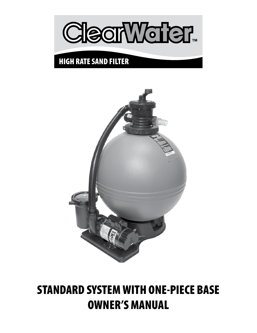

# HIGH RATE SAND FILTER



# STANDARD SYSTEM WITH ONE-PIECE BASE OWNER'S MANUAL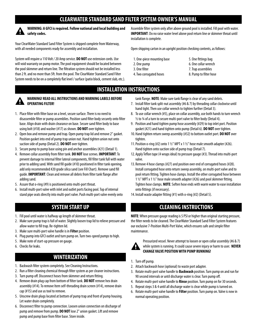# **CLEARWATER STANDARD SAND FILTER SYSTEM OWNER'S MANUAL**



**WARNING: A GFCI is required. Follow national and local building and safety codes.**

Your ClearWater Standard Sand Filter System is shipped complete from Waterway, with all needed components ready for assembly and installation.

System will require a 110 Volt / 20 Amp service. **DO NOT** use extension cords. Use will void warranty on pump motor. The pool equipment should be located between the pool skimmer and return line. The filtration system should not be installed less than 2 ft. and no more than 5ft. from the pool. The ClearWater Standard Sand Filter System needs to be on a completely flat level / surface (patio block, cement slab, etc.).

Assemble filter system only after above ground pool is installed. Fill pool with water. **IMPORTANT**: Do no raise water level above pool return line or skimmer throat until installation is complete.

Open shipping carton in an upright position checking contents, as follows:

- 1. One-piece mounting base
- 2. One pump
- 3. One filter
- 4. Two corrugated hoses
- 5. One fittings bag 6. One collar wrench 7. Trap assemblies
- 8. Pump to filter hose

### **INSTALLATION INSTRUCTIONS**



#### **WARNING! READ ALL INSTRUCTIONS AND WARNING LABELS BEFORE OPERATING FILTER!**

- 1. Place filter with filter base on a level, secure surface. There is no need to disassemble filter or pump assemblies. Position sand filter body securely onto filter base. Align drain with drain clearance on base. Secure sand filter body to base using bolt (#18) and washer (#17) as shown. **DO NOT** over tighten.
- 2. Open box and remove pump and trap. Open pump trap lid and remove 2" gasket. Position gasket into end of pump trap union nut. Hand tighten union nut onto suction side of pump (Detail 2). **DO NOT** over tighten.
- 3. Secure pump to pump base using pin and anchor assemblies (#21) (Detail 1).
- 4. Remove collar assembly from filter tank. **DO NOT** lose screws. **IMPORTANT**: To prevent damage to internal filter lateral components, fill filter tank full with water prior to adding sand. With sand fill guide (#10) positioned in filter tank opening, add only recommended #20 grade silica sand (see Fill Chart). Remove sand fill guide. **IMPORTANT**: Clean and remove all debris from filter tank flange after adding sand.
- 5. Assure that o-ring (#9) is positioned onto multi-port throat.
- 6. Install multi-port valve with inlet and outlet ports facing pool. Top of internal stand pipe seats directly into multi-port valve. Push multi-port valve evenly onto

- 1. Fill pool until water is halfway up length of skimmer throat.
- 2. Make sure pump trap is full of water. Slightly loosen trap lid to relieve pressure and allow water to fill trap. Re-tighten lid.
- 3. Make sure multi-port valve handle is in **Filter** position.
- 4. Plug pump into GFCI outlet and turn pump on. Turn two-speed pumps to high.
- 5. Make note of start-up pressure on gauge.
- 6. Checks for leaks.

# **WINTERIZATION**

- 1. Backwash filter system completely. See Cleaning Instructions.
- 2. Run a filter cleaning chemical through filter system as per cleaner instructions.
- 3. Turn pump off. Disconnect hoses from skimmer and return fitting.
- 4. Remove drain plug cap from bottom of filter tank. **DO NOT** remove hex drain assembly (#14). To remove Item self-threading drain screen (#14), remove drain cap (#15) and use as tool to remove.
- 5. Unscrew drain plugs located at bottom of pump trap and front of pump housing. Let water drain completely.
- 6. Disconnect filter to pump connection. Loosen union connection on discharge of pump and remove from pump. **DO NOT** lose 2" union gasket. Lift and remove pump and pump base from filter base. Store inside.

tank flange. **NOTE**: Make sure tank flange is clear of any sand debris.

- 7. Install filter tank split-nut assembly (#6 & 7) by threading collar clockwise until hand tight. Then use collar wrench to tighten further (Detail 3).
- 8. To use collar wrench (#5), place on collar assembly, use both hands to turn wrench  $1/2$  to  $3/4$  of a turn to secure multi-port valve to filter body (Detail 4).
- 9. Position and hand tighten pump hose assembly (#29) to top inlet port. Position gasket (#21) and hand tighten onto pump (Detail 6). **DO NOT** over tighten.
- 10. Hand tighten return sweep assembly (#32) to bottom outlet port. **DO NOT** over tighten.
- 11. Position o-ring (#2) onto 1  $\frac{1}{2}$ " MPT x 1  $\frac{1}{2}$ " hose male smooth adapter (#26). Hand tighten onto suction side of pump trap (Detail 7).
- 12. Apply Teflon tape (4 wraps ideal) to pressure gauge (#3). Thread into multi-port valve.
- 13. Remove 4 hose clamps (#27) and position over end of corrugated hoses (#28). Install corrugated hose onto return sweep assembly, on multi-port valve and to pool return fitting. Tighten hose clamps. Install the other corrugated hose between 1  $1/2$ " MPT x 1  $1/2$ " hose male smooth adapter (#26) and pool skimmer fitting. Tighten hose clamps. **NOTE**: Soften hose ends with warm water to ease installation onto fittings (if necessary).
- 14. Install waste adapter fitting (#1) with o-ring (#2) (Detail 5).

#### **SYSTEM START UP CLEANING INSTRUCTIONS**

**NOTE**: When pressure gauge reading is 5 PSI or higher than original starting pressure, the filter needs to be cleaned. The ClearWater Standard Sand Filter System features our exclusive 7-Position Multi-Port Valve, which ensures safe and simple filter maintenance.



Pressurized vessel. Never attempt to loosen or open collar assembly (#6 & 7) while system is running. It could cause severe injury or harm to user. **NEVER CHANGE VALVE POSITION WITH PUMP RUNNING!**

- 1. Turn off pump.
- 2. Attach backwash hose (optional) to waste port adapter.
- 3. Rotate multi-port valve handle to **Backwash** position. Turn pump on and run for 90 second intervals or until discharge water is clear. Turn pump off.
- 4. Rotate multi-port valve handle to **Rinse** position. Turn pump on for 30 seconds.
- 5. Repeat steps 3 & 4 until all discharge water is clear while pump is turned on.
- 6. Rotate multi-port valve handle to **Filter** position. Turn pump on. Valve is now in normal operating position.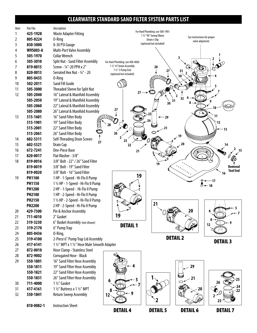# **CLEARWATER STANDARD SAND FILTER SYSTEM PARTS LIST**

| 3<br>4   | 830-3000<br><b>WVS003-A</b> | 0-30 PSI Gauge<br><b>Multi-Port Valve Assembly</b> |                                             |                 |                 |                       |
|----------|-----------------------------|----------------------------------------------------|---------------------------------------------|-----------------|-----------------|-----------------------|
| 5        | 505-1970                    | <b>Collar Wrench</b>                               |                                             |                 |                 |                       |
| 6        | 505-3010                    | <b>Split Nut - Sand Filter Assembly</b>            | For Hard Plumbing: use 400-4060             |                 |                 |                       |
| 7        | 819-0015                    | Screw - 1/4"-20 PPH x 2"                           | 1 1/2" #7 Union Assembly                    | 28              |                 |                       |
| 8        | 820-0013                    | Serrated Hex Nut - 1/4" - 20                       | 11/2" S Pump End<br>(optional/not included) | 27              | 31              |                       |
| 9        | 805-0435                    | 0-Ring                                             |                                             | TTMA            | 30              |                       |
| 10       | 502-2011                    | Sand Fill Guide                                    |                                             |                 |                 |                       |
| 11       | 505-3000                    | <b>Threaded Sleeve for Split Nut</b>               |                                             |                 |                 |                       |
| 12       | 505-2040                    | 16" Lateral & Manifold Assembly                    |                                             | 27              |                 |                       |
|          | 505-2050                    | 19" Lateral & Manifold Assembly                    |                                             | 31<br>30        | 32<br>mm        |                       |
|          | 505-2060                    | 22" Lateral & Manifold Assembly                    |                                             |                 |                 |                       |
|          | 505-2080                    | 26" Lateral & Manifold Assembly                    | 27                                          |                 |                 |                       |
| 13       | 515-1601                    | 16" Sand Filter Body                               | <b>MARTIN</b>                               | - 29<br>↞<br>24 |                 | 11                    |
|          | 515-1901                    | 19" Sand Filter Body                               | 28                                          |                 |                 | 12                    |
|          | 515-2001                    | 22" Sand Filter Body                               |                                             | 21              |                 | 13                    |
|          | 515-2061                    | 26" Sand Filter Body                               | 26                                          |                 |                 |                       |
| 14       | 602-5311                    | Self-Threading Drain Screen<br>27                  | 23                                          |                 | 20              |                       |
| 15       | 602-5321                    | Drain Cap                                          | 22                                          |                 |                 | 14                    |
| 16       | 672-7241<br>820-0017        | <b>One-Piece Base</b><br>Flat Washer - 3/8"        |                                             | 21              |                 |                       |
| 17<br>18 | 819-0016                    | 3/8" Bolt - 22" / 26" Sand Filter                  |                                             |                 |                 |                       |
|          | 819-0019                    | 3/8" Bolt - 19" Sand Filter                        |                                             | 19              |                 | Removal               |
|          | 819-0020                    | 3/8" Bolt - 16" Sand Filter                        |                                             |                 |                 | <b>Tool End</b><br>16 |
| 19       | <b>PH1100</b>               | 1 HP - 1-Speed - Hi-Flo II Pump                    |                                             | 19              |                 |                       |
|          | <b>PH1150</b>               | 1 1/2 HP - 1-Speed - Hi-Flo II Pump                |                                             |                 | ⊜≁              | $-17$                 |
|          | <b>PH1200</b>               | 2 HP - 1-Speed - Hi-Flo II Pump                    |                                             |                 |                 | 8←18                  |
|          | <b>PH2100</b>               | 1 HP - 2-Speed - Hi-Flo II Pump                    |                                             |                 |                 |                       |
|          | <b>PH2150</b>               | 1 1/2 HP - 2-Speed - Hi-Flo II Pump                |                                             |                 |                 |                       |
|          | <b>PH2200</b>               | 2 HP - 2-Speed - Hi-Flo II Pump                    |                                             | 21              |                 |                       |
| 20       | 429-7300                    | Pin & Anchor Assembly                              |                                             |                 | 20              |                       |
| 21       | 711-4010                    | 2" Gasket                                          | 19                                          |                 |                 | لرويت                 |
| 22       | 319-3230                    | 6" Basket Assembly (not shown)                     | <b>DETAIL 1</b>                             |                 |                 | 12                    |
| 23       | 319-2170                    | 6" Pump Trap                                       |                                             |                 |                 |                       |
| 24       | 805-0436                    | 0-Ring,                                            |                                             |                 |                 |                       |
| 25       | 319-4100                    | 2-Piece 6" Pump Trap Lid Assembly                  |                                             |                 | <b>DETAIL 2</b> | <b>DETAIL 3</b>       |
| 26       | 417-6141                    | 1 1/2" MPT x 1 1/2" Hose Male Smooth Adapter       |                                             |                 |                 |                       |
| 27       | 872-0010                    | Hose Clamp - Stainless Steel                       |                                             |                 |                 |                       |
| 28       | 872-9002                    | Corrugated Hose - Black                            |                                             |                 |                 |                       |
| 29       | 550-1801                    | 16" Sand Filter Hose Assembly                      | - 4                                         |                 |                 |                       |
|          | 550-1811                    | 19" Sand Filter Hose Assembly                      |                                             |                 | 29              |                       |
|          | 550-1821                    | 22" Sand Filter Hose Assembly                      |                                             |                 |                 |                       |
|          | 550-1831<br>711-4000        | 26" Sand Filter Hose Assembly<br>11/2" Gasket      | 6                                           | 5               | 21              | 26                    |
| 30<br>31 | 417-4161                    | 1 1/2" Buttress x 1 1/2" MPT                       |                                             |                 | 20              |                       |
| 32       | 550-1841                    | <b>Return Sweep Assembly</b>                       | 12                                          |                 |                 | 22                    |
|          |                             |                                                    |                                             |                 |                 | 2 <sup>2</sup>        |
|          | 810-0082-1                  | <b>Instruction Sheet</b>                           | <b>DETAIL4</b>                              | <b>DETAIL 5</b> | <b>DETAIL 6</b> | <b>DETAIL 7</b>       |